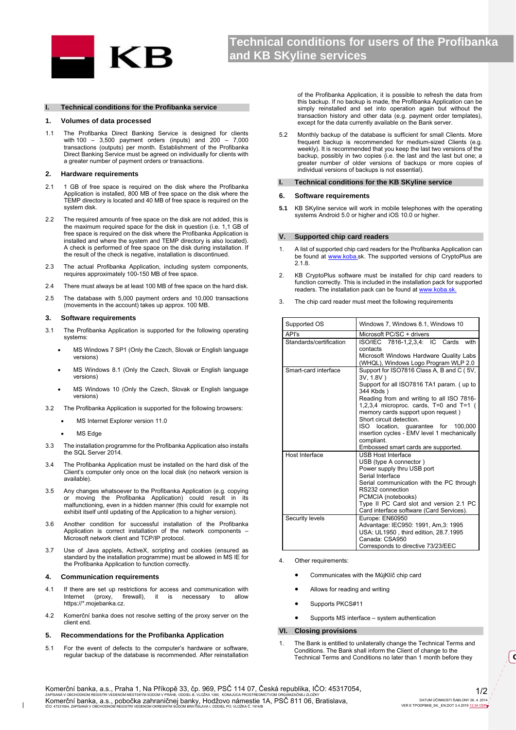

#### **I. Technical conditions for the Profibanka service**

### **1. Volumes of data processed**

1.1 The Profibanka Direct Banking Service is designed for clients with 100 – 3,500 payment orders (inputs) and 200 – 7,000 transactions (outputs) per month. Establishment of the Profibanka Direct Banking Service must be agreed on individually for clients with a greater number of payment orders or transactions.

#### **2. Hardware requirements**

- 2.1 1 GB of free space is required on the disk where the Profibanka Application is installed, 800 MB of free space on the disk where the TEMP directory is located and 40 MB of free space is required on the system disk.
- 2.2 The required amounts of free space on the disk are not added, this is the maximum required space for the disk in question (i.e. 1,1 GB of free space is required on the disk where the Profibanka Application is installed and where the system and TEMP directory is also located). A check is performed of free space on the disk during installation. If the result of the check is negative, installation is discontinued.
- 2.3 The actual Profibanka Application, including system components, requires approximately 100-150 MB of free space.
- 2.4 There must always be at least 100 MB of free space on the hard disk.
- 2.5 The database with 5,000 payment orders and 10,000 transactions (movements in the account) takes up approx. 100 MB.

## **3. Software requirements**

- 3.1 The Profibanka Application is supported for the following operating systems:
	- MS Windows 7 SP1 (Only the Czech, Slovak or English language versions)
	- MS Windows 8.1 (Only the Czech, Slovak or English language versions)
	- MS Windows 10 (Only the Czech, Slovak or English language versions)
- 3.2 The Profibanka Application is supported for the following browsers:
	- MS Internet Explorer version 11.0
	- MS Edge
- 3.3 The installation programme for the Profibanka Application also installs the SQL Server 2014.
- 3.4 The Profibanka Application must be installed on the hard disk of the Client's computer only once on the local disk (no network version is available).
- 3.5 Any changes whatsoever to the Profibanka Application (e.g. copying or moving the Profibanka Application) could result in malfunctioning, even in a hidden manner (this could for example not exhibit itself until updating of the Application to a higher version).
- 3.6 Another condition for successful installation of the Profibanka Application is correct installation of the network components – Microsoft network client and TCP/IP protocol.
- 3.7 Use of Java applets, ActiveX, scripting and cookies (ensured as standard by the installation programme) must be allowed in MS IE for the Profibanka Application to function correctly.

## **4. Communication requirements**

- 4.1 If there are set up restrictions for access and communication with<br>Internet (proxy, firewall), it is necessary to allow Internet (proxy, firewall), it is necessary to allow https://\*.mojebanka.cz.
- 4.2 Komerční banka does not resolve setting of the proxy server on the client end.

## **5. Recommendations for the Profibanka Application**

5.1 For the event of defects to the computer's hardware or software, regular backup of the database is recommended. After reinstallation

of the Profibanka Application, it is possible to refresh the data from this backup. If no backup is made, the Profibanka Application can be simply reinstalled and set into operation again but without the transaction history and other data (e.g. payment order templates), except for the data currently available on the Bank server.

5.2 Monthly backup of the database is sufficient for small Clients. More frequent backup is recommended for medium-sized Clients (e.g. weekly). It is recommended that you keep the last two versions of the backup, possibly in two copies (i.e. the last and the last but one; a greater number of older versions of backups or more copies of individual versions of backups is not essential).

## **I. Technical conditions for the KB SKyline service**

## **6. Software requirements**

**5.1** KB SKyline service will work in mobile telephones with the operating systems Android 5.0 or higher and iOS 10.0 or higher.

#### **V. Supported chip card readers**

- 1. A list of supported chip card readers for the Profibanka Application can be found at www.koba.sk. The supported versions of CryptoPlus are 2.1.8.
- 2. KB CryptoPlus software must be installed for chip card readers to function correctly. This is included in the installation pack for supported readers. The installation pack can be found at www.koba.sk
- 3. The chip card reader must meet the following requirements

| Supported OS            | Windows 7, Windows 8.1, Windows 10                                                                                                                                                                                                                                                                                                                                                                                    |
|-------------------------|-----------------------------------------------------------------------------------------------------------------------------------------------------------------------------------------------------------------------------------------------------------------------------------------------------------------------------------------------------------------------------------------------------------------------|
| API's                   | Microsoft PC/SC + drivers                                                                                                                                                                                                                                                                                                                                                                                             |
| Standards/certification | ISO/IEC 7816-1,2,3,4: IC Cards<br>with<br>contacts<br>Microsoft Windows Hardware Quality Labs<br>(WHQL), Windows Logo Program WLP 2.0                                                                                                                                                                                                                                                                                 |
| Smart-card interface    | Support for ISO7816 Class A, B and C (5V,<br>3V, 1.8V)<br>Support for all ISO7816 TA1 param. (up to<br>344 Kbds)<br>Reading from and writing to all ISO 7816-<br>1,2,3,4 microproc. cards, T=0 and T=1 (<br>memory cards support upon request)<br>Short circuit detection.<br>ISO location, guarantee for 100,000<br>insertion cycles - EMV level 1 mechanically<br>compliant.<br>Embossed smart cards are supported. |
| Host Interface          | <b>USB Host Interface</b><br>USB (type A connector)<br>Power supply thru USB port<br>Serial Interface<br>Serial communication with the PC through<br>RS232 connection<br>PCMCIA (notebooks)<br>Type II PC Card slot and version 2.1 PC<br>Card interface software (Card Services).                                                                                                                                    |
| Security levels         | Europe: EN60950<br>Advantage: IEC950: 1991, Am, 3: 1995<br>USA: UL1950, third edition, 28.7.1995<br>Canada: CSA950<br>Corresponds to directive 73/23/EEC                                                                                                                                                                                                                                                              |

4. Other requirements:

- Communicates with the MůjKlíč chip card
- Allows for reading and writing
- Supports PKCS#11
- Supports MS interface system authentication

# **VI. Closing provisions**

1. The Bank is entitled to unilaterally change the Technical Terms and Conditions. The Bank shall inform the Client of change to the Technical Terms and Conditions no later than 1 month before they

Komerční banka, a.s., Praha 1, Na Příkopě 33, čp. 969, PSČ 114 07, Česká republika, IČO: 45317054, Komerční banka, a.s., pobočka zahraničnej banky, Hodžovo námestie 1A, PSČ 811 06, Bratislava,

**O**